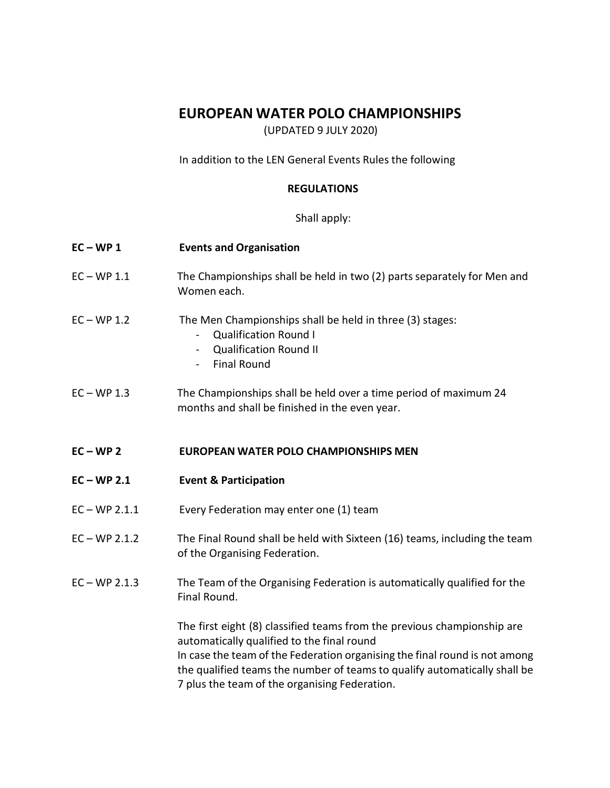# **EUROPEAN WATER POLO CHAMPIONSHIPS**

(UPDATED 9 JULY 2020)

In addition to the LEN General Events Rules the following

# **REGULATIONS**

Shall apply:

| $EC-WP1$        | <b>Events and Organisation</b>                                                                                                                                                                                                                                                                                                    |
|-----------------|-----------------------------------------------------------------------------------------------------------------------------------------------------------------------------------------------------------------------------------------------------------------------------------------------------------------------------------|
| $EC-WP 1.1$     | The Championships shall be held in two (2) parts separately for Men and<br>Women each.                                                                                                                                                                                                                                            |
| $EC-WP 1.2$     | The Men Championships shall be held in three (3) stages:<br><b>Qualification Round I</b><br><b>Qualification Round II</b><br><b>Final Round</b>                                                                                                                                                                                   |
| $EC-WP 1.3$     | The Championships shall be held over a time period of maximum 24<br>months and shall be finished in the even year.                                                                                                                                                                                                                |
| $EC-WP2$        | <b>EUROPEAN WATER POLO CHAMPIONSHIPS MEN</b>                                                                                                                                                                                                                                                                                      |
| $EC-WP 2.1$     | <b>Event &amp; Participation</b>                                                                                                                                                                                                                                                                                                  |
| $EC - WP 2.1.1$ | Every Federation may enter one (1) team                                                                                                                                                                                                                                                                                           |
| $EC - WP 2.1.2$ | The Final Round shall be held with Sixteen (16) teams, including the team<br>of the Organising Federation.                                                                                                                                                                                                                        |
| $EC - WP 2.1.3$ | The Team of the Organising Federation is automatically qualified for the<br>Final Round.                                                                                                                                                                                                                                          |
|                 | The first eight (8) classified teams from the previous championship are<br>automatically qualified to the final round<br>In case the team of the Federation organising the final round is not among<br>the qualified teams the number of teams to qualify automatically shall be<br>7 plus the team of the organising Federation. |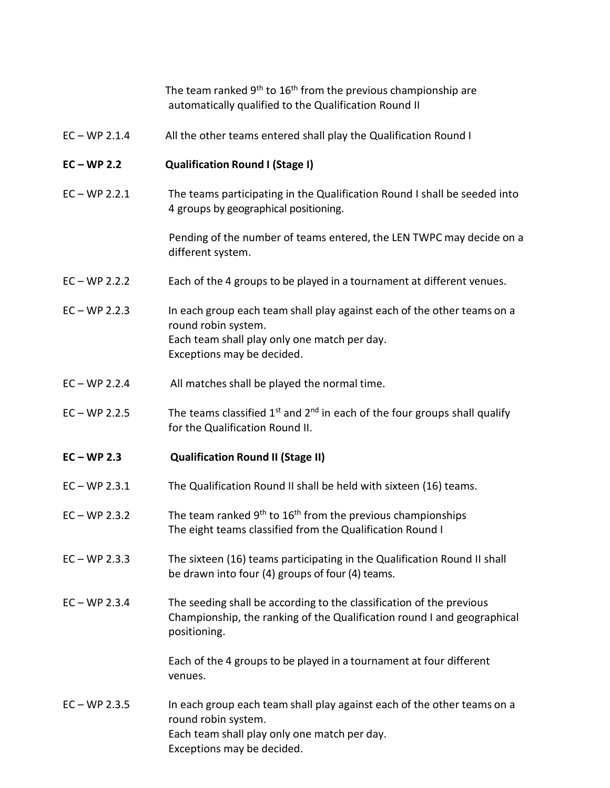The team ranked  $9<sup>th</sup>$  to  $16<sup>th</sup>$  from the previous championship are automatically qualified to the Qualification Round II

EC – WP 2.1.4 All the other teams entered shall play the Qualification Round I

### **EC – WP 2.2 Qualification Round I (Stage I)**

EC – WP 2.2.1 The teams participating in the Qualification Round I shall be seeded into 4 groups by geographical positioning.

> Pending of the number of teams entered, the LEN TWPC may decide on a different system.

- EC WP 2.2.2 Each of the 4 groups to be played in a tournament at different venues.
- EC WP 2.2.3 In each group each team shall play against each of the other teams on a round robin system. Each team shall play only one match per day. Exceptions may be decided.
- EC WP 2.2.4 All matches shall be played the normal time.
- EC WP 2.2.5 The teams classified  $1^{st}$  and  $2^{nd}$  in each of the four groups shall qualify for the Qualification Round II.

### **EC – WP 2.3 Qualification Round II (Stage II)**

- EC WP 2.3.1 The Qualification Round II shall be held with sixteen (16) teams.
- $EC WP 2.3.2$  The team ranked 9<sup>th</sup> to 16<sup>th</sup> from the previous championships The eight teams classified from the Qualification Round I
- EC WP 2.3.3 The sixteen (16) teams participating in the Qualification Round II shall be drawn into four (4) groups of four (4) teams.
- EC WP 2.3.4 The seeding shall be according to the classification of the previous Championship, the ranking of the Qualification round I and geographical positioning.

Each of the 4 groups to be played in a tournament at four different venues.

EC – WP 2.3.5 In each group each team shall play against each of the other teams on a round robin system. Each team shall play only one match per day. Exceptions may be decided.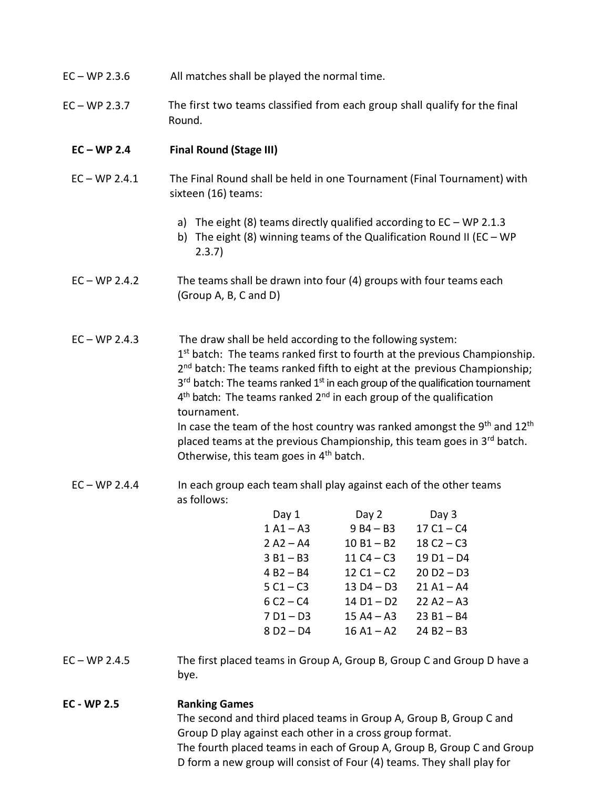| $EC - WP 2.3.6$ | All matches shall be played the normal time. |
|-----------------|----------------------------------------------|
|-----------------|----------------------------------------------|

EC – WP 2.3.7 The first two teams classified from each group shall qualify for the final Round.

## **EC – WP 2.4 Final Round (Stage III)**

- EC WP 2.4.1 The Final Round shall be held in one Tournament (Final Tournament) with sixteen (16) teams:
	- a) The eight  $(8)$  teams directly qualified according to  $EC WP$  2.1.3
	- b) The eight (8) winning teams of the Qualification Round II (EC WP 2.3.7)
- EC WP 2.4.2 The teams shall be drawn into four (4) groups with four teams each (Group A, B, C and D)
- EC WP 2.4.3 The draw shall be held according to the following system: 1<sup>st</sup> batch: The teams ranked first to fourth at the previous Championship. 2<sup>nd</sup> batch: The teams ranked fifth to eight at the previous Championship; 3<sup>rd</sup> batch: The teams ranked 1<sup>st</sup> in each group of the qualification tournament 4<sup>th</sup> batch: The teams ranked 2<sup>nd</sup> in each group of the qualification tournament. In case the team of the host country was ranked amongst the 9<sup>th</sup> and 12<sup>th</sup> placed teams at the previous Championship, this team goes in 3<sup>rd</sup> batch.
- EC WP 2.4.4 In each group each team shall play against each of the other teams as follows:

Otherwise, this team goes in  $4<sup>th</sup>$  batch.

| Day 1       | Day 2        | Day 3        |
|-------------|--------------|--------------|
| $1 A1 - A3$ | $9B4 - B3$   | $17C1 - C4$  |
| $2 A2 - A4$ | $10 B1 - B2$ | $18C2 - C3$  |
| $3B1 - B3$  | 11 $C4 - C3$ | $19D1 - D4$  |
| $4B2 - B4$  | $12 C1 - C2$ | $20 D2 - D3$ |
| $5C1 - C3$  | $13D4-D3$    | $21 A1 - A4$ |
| $6C2 - C4$  | $14 D1 - D2$ | $22 A2 - A3$ |
| $7D1-D3$    | $15 A4 - A3$ | $23B1 - B4$  |
| $8D2-D4$    | $16A1 - A2$  | $24 B2 - B3$ |
|             |              |              |

- EC WP 2.4.5 The first placed teams in Group A, Group B, Group C and Group D have a bye.
- **EC - WP 2.5 Ranking Games** The second and third placed teams in Group A, Group B, Group C and Group D play against each other in a cross group format. The fourth placed teams in each of Group A, Group B, Group C and Group D form a new group will consist of Four (4) teams. They shall play for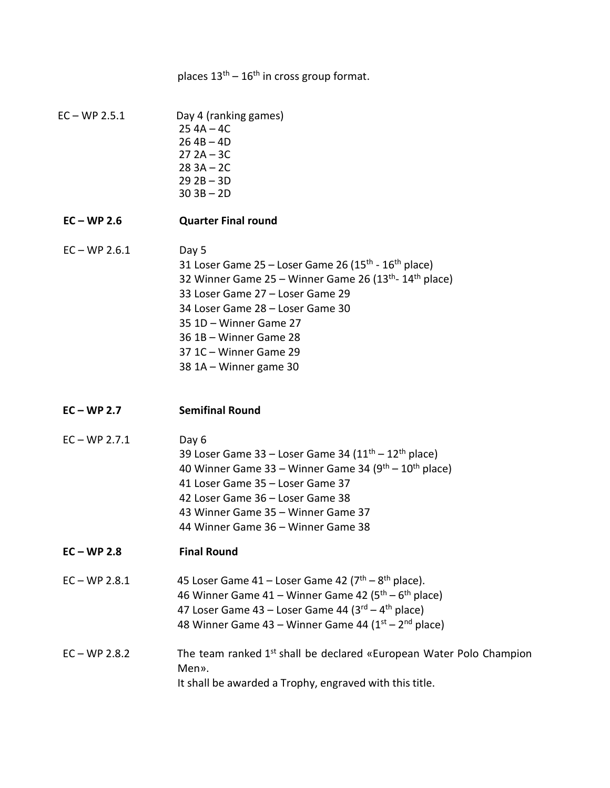places  $13<sup>th</sup> - 16<sup>th</sup>$  in cross group format.

EC – WP 2.5.1 Day 4 (ranking games) 25 4A – 4C  $26$  4B  $-$  4D  $27 2A - 3C$ 28 3A – 2C 29 2B – 3D 30 3B – 2D

### **EC – WP 2.6 Quarter Final round**

# $EC - WP 2.6.1$  Day 5 31 Loser Game 25 – Loser Game 26 (15<sup>th</sup> - 16<sup>th</sup> place) 32 Winner Game 25 – Winner Game 26 (13<sup>th</sup>- 14<sup>th</sup> place) 33 Loser Game 27 – Loser Game 29 34 Loser Game 28 – Loser Game 30 35 1D – Winner Game 27 36 1B – Winner Game 28 37 1C – Winner Game 29 38 1A – Winner game 30

- **EC – WP 2.7 Semifinal Round**
- $EC WP 2.7.1$  Day 6 39 Loser Game 33 – Loser Game 34 ( $11<sup>th</sup> - 12<sup>th</sup>$  place) 40 Winner Game 33 – Winner Game 34 ( $9<sup>th</sup> - 10<sup>th</sup>$  place) 41 Loser Game 35 – Loser Game 37 42 Loser Game 36 – Loser Game 38 43 Winner Game 35 – Winner Game 37 44 Winner Game 36 – Winner Game 38
- **EC – WP 2.8 Final Round**
- $EC WP 2.8.1$  45 Loser Game  $41 Loser$  Game  $42 (7<sup>th</sup> 8<sup>th</sup> place).$ 46 Winner Game 41 – Winner Game 42 (5<sup>th</sup> – 6<sup>th</sup> place) 47 Loser Game 43 – Loser Game 44 (3<sup>rd</sup> – 4<sup>th</sup> place) 48 Winner Game 43 – Winner Game 44 (1st – 2<sup>nd</sup> place)

# EC – WP 2.8.2 The team ranked  $1<sup>st</sup>$  shall be declared «European Water Polo Champion Men». It shall be awarded a Trophy, engraved with this title.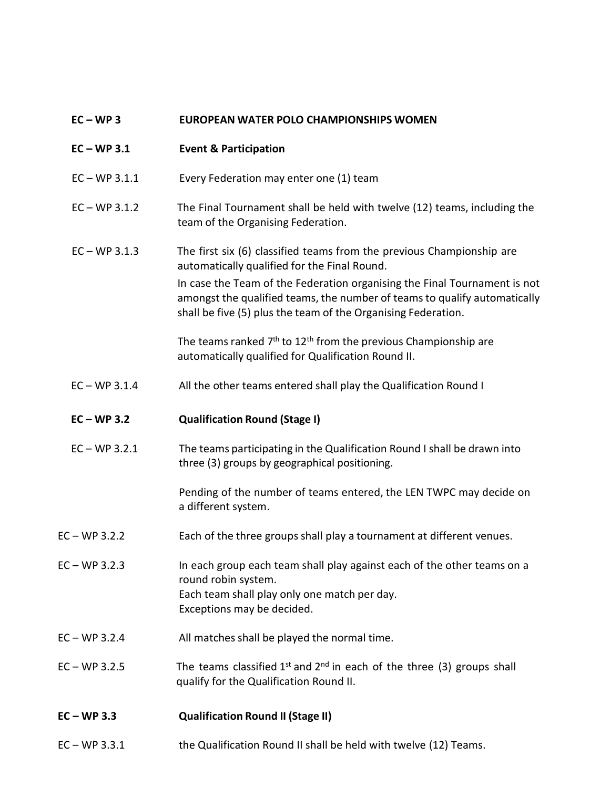### **EC – WP 3 EUROPEAN WATER POLO CHAMPIONSHIPS WOMEN**

### **EC – WP 3.1 Event & Participation**

- EC WP 3.1.1 Every Federation may enter one (1) team
- EC WP 3.1.2 The Final Tournament shall be held with twelve (12) teams, including the team of the Organising Federation.

### EC – WP 3.1.3 The first six (6) classified teams from the previous Championship are automatically qualified for the Final Round.

In case the Team of the Federation organising the Final Tournament is not amongst the qualified teams, the number of teams to qualify automatically shall be five (5) plus the team of the Organising Federation.

The teams ranked  $7<sup>th</sup>$  to 12<sup>th</sup> from the previous Championship are automatically qualified for Qualification Round II.

EC – WP 3.1.4 All the other teams entered shall play the Qualification Round I

### **EC – WP 3.2 Qualification Round (Stage I)**

 EC – WP 3.2.1 The teams participating in the Qualification Round I shall be drawn into three (3) groups by geographical positioning.

> Pending of the number of teams entered, the LEN TWPC may decide on a different system.

- EC WP 3.2.2 Each of the three groups shall play a tournament at different venues.
- EC WP 3.2.3 In each group each team shall play against each of the other teams on a round robin system. Each team shall play only one match per day. Exceptions may be decided.
- EC WP 3.2.4 All matches shall be played the normal time.
- EC WP 3.2.5 The teams classified  $1^{st}$  and  $2^{nd}$  in each of the three (3) groups shall qualify for the Qualification Round II.

### **EC – WP 3.3 Qualification Round II (Stage II)**

EC – WP 3.3.1 the Qualification Round II shall be held with twelve (12) Teams.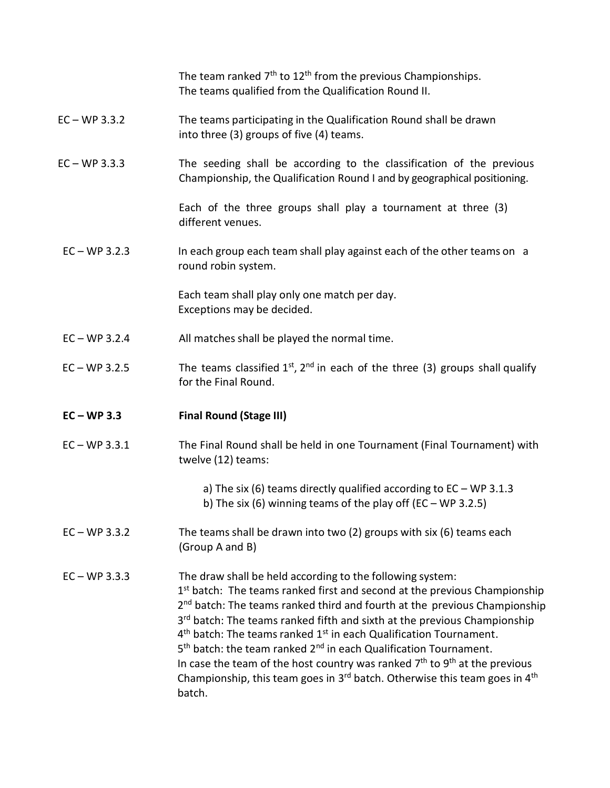The team ranked  $7<sup>th</sup>$  to  $12<sup>th</sup>$  from the previous Championships. The teams qualified from the Qualification Round II.

# EC – WP 3.3.2 The teams participating in the Qualification Round shall be drawn into three (3) groups of five (4) teams.

EC – WP 3.3.3 The seeding shall be according to the classification of the previous Championship, the Qualification Round I and by geographical positioning.

> Each of the three groups shall play a tournament at three (3) different venues.

EC – WP 3.2.3 In each group each team shall play against each of the other teams on a round robin system.

> Each team shall play only one match per day. Exceptions may be decided.

- EC WP 3.2.4 All matches shall be played the normal time.
- EC WP 3.2.5 The teams classified  $1^{st}$ ,  $2^{nd}$  in each of the three (3) groups shall qualify for the Final Round.

### **EC – WP 3.3 Final Round (Stage III)**

- EC WP 3.3.1 The Final Round shall be held in one Tournament (Final Tournament) with twelve (12) teams:
	- a) The six (6) teams directly qualified according to EC WP 3.1.3 b) The six (6) winning teams of the play off  $(EC - WP 3.2.5)$
- EC WP 3.3.2 The teams shall be drawn into two (2) groups with six (6) teams each (Group A and B)

EC – WP 3.3.3 The draw shall be held according to the following system: 1<sup>st</sup> batch: The teams ranked first and second at the previous Championship 2<sup>nd</sup> batch: The teams ranked third and fourth at the previous Championship 3<sup>rd</sup> batch: The teams ranked fifth and sixth at the previous Championship 4<sup>th</sup> batch: The teams ranked 1<sup>st</sup> in each Qualification Tournament. 5<sup>th</sup> batch: the team ranked 2<sup>nd</sup> in each Qualification Tournament. In case the team of the host country was ranked  $7<sup>th</sup>$  to  $9<sup>th</sup>$  at the previous Championship, this team goes in 3<sup>rd</sup> batch. Otherwise this team goes in 4<sup>th</sup> batch.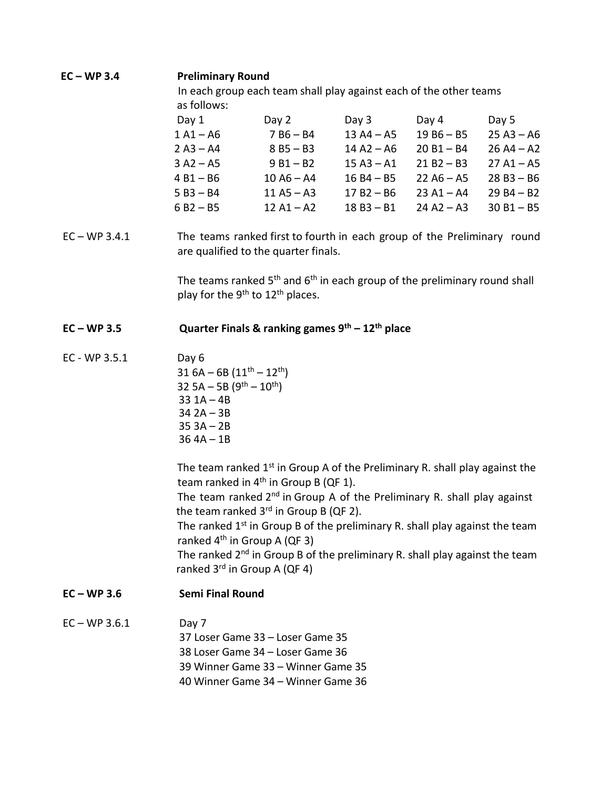# **EC – WP 3.4 Preliminary Round**

In each group each team shall play against each of the other teams as follows:

| Day 1       | Day 2        | Day 3        | Day 4        | Day 5        |
|-------------|--------------|--------------|--------------|--------------|
| $1 A1 - A6$ | $7B6 - B4$   | $13 A4 - A5$ | $19B6 - B5$  | $25 A3 - A6$ |
| $2 A3 - A4$ | $8B5 - B3$   | $14 A2 - A6$ | $20B1 - B4$  | $26 A4 - A2$ |
| $3 A2 - A5$ | $9B1 - B2$   | $15 A3 - A1$ | $21 B2 - B3$ | $27 A1 - A5$ |
| $4B1 - B6$  | $10 A6 - A4$ | $16B4 - B5$  | $22 A6 - A5$ | $28B3 - B6$  |
| $5B3 - B4$  | $11 A5 - A3$ | $17 B2 - B6$ | $23 A1 - A4$ | $29B4 - B2$  |
| $6B2 - B5$  | $12 A1 - A2$ | $18B3 - B1$  | $24 A2 - A3$ | $30 B1 - B5$ |

EC – WP 3.4.1 The teams ranked first to fourth in each group of the Preliminary round are qualified to the quarter finals.

> The teams ranked  $5<sup>th</sup>$  and  $6<sup>th</sup>$  in each group of the preliminary round shall play for the 9<sup>th</sup> to 12<sup>th</sup> places.

# **EC – WP 3.5 Quarter Finals & ranking games 9th – 12th place**

EC - WP 3.5.1 Day 6 31  $6A - 6B (11<sup>th</sup> - 12<sup>th</sup>)$ 32 5A – 5B  $(9^{th} – 10^{th})$  $33$  1A – 4B 34 2A – 3B 35 3A – 2B  $36$  4A – 1B

> The team ranked  $1<sup>st</sup>$  in Group A of the Preliminary R. shall play against the team ranked in  $4<sup>th</sup>$  in Group B (QF 1).

> The team ranked  $2^{nd}$  in Group A of the Preliminary R. shall play against the team ranked  $3<sup>rd</sup>$  in Group B (QF 2).

> The ranked  $1<sup>st</sup>$  in Group B of the preliminary R. shall play against the team ranked  $4<sup>th</sup>$  in Group A (QF 3)

> The ranked  $2^{nd}$  in Group B of the preliminary R. shall play against the team ranked  $3^{rd}$  in Group A (QF 4)

### **EC – WP 3.6 Semi Final Round**

 $EC - WP 3.6.1$  Day 7 37 Loser Game 33 – Loser Game 35 38 Loser Game 34 – Loser Game 36 39 Winner Game 33 – Winner Game 35 40 Winner Game 34 – Winner Game 36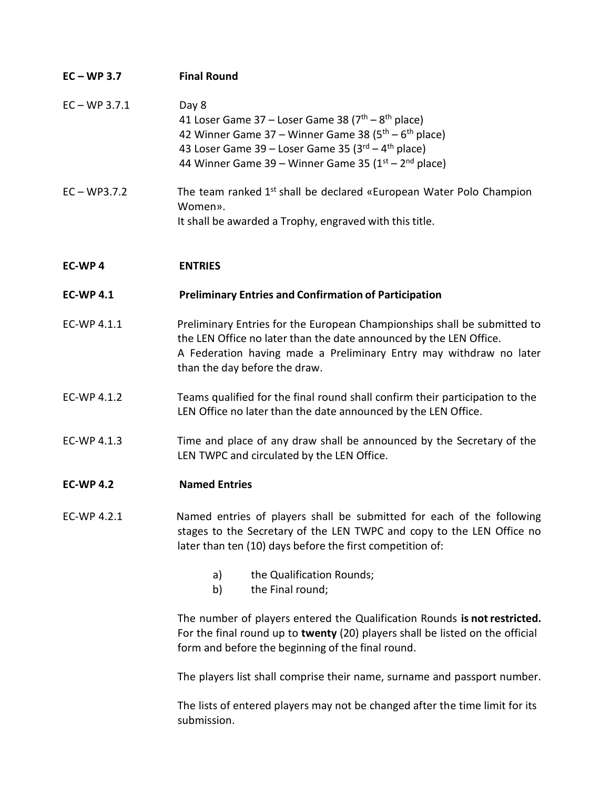| $EC-WP$ 3.7     | <b>Final Round</b>                                                                                                                                                                                                                                          |
|-----------------|-------------------------------------------------------------------------------------------------------------------------------------------------------------------------------------------------------------------------------------------------------------|
| $EC - WP 3.7.1$ | Day 8<br>41 Loser Game 37 – Loser Game 38 ( $7th$ – $8th$ place)<br>42 Winner Game 37 – Winner Game 38 ( $5th$ – $6th$ place)<br>43 Loser Game 39 – Loser Game 35 ( $3^{rd}$ – $4^{th}$ place)<br>44 Winner Game 39 – Winner Game 35 ( $1st$ – $2nd$ place) |
| $EC - WP3.7.2$  | The team ranked 1 <sup>st</sup> shall be declared «European Water Polo Champion<br>Women».<br>It shall be awarded a Trophy, engraved with this title.                                                                                                       |

## **EC-WP 4 ENTRIES**

### **EC-WP 4.1 Preliminary Entries and Confirmation of Participation**

- EC-WP 4.1.1 Preliminary Entries for the European Championships shall be submitted to the LEN Office no later than the date announced by the LEN Office. A Federation having made a Preliminary Entry may withdraw no later than the day before the draw.
- EC-WP 4.1.2 Teams qualified for the final round shall confirm their participation to the LEN Office no later than the date announced by the LEN Office.
- EC-WP 4.1.3 Time and place of any draw shall be announced by the Secretary of the LEN TWPC and circulated by the LEN Office.

### **EC-WP 4.2 Named Entries**

- EC-WP 4.2.1 Named entries of players shall be submitted for each of the following stages to the Secretary of the LEN TWPC and copy to the LEN Office no later than ten (10) days before the first competition of:
	- a) the Qualification Rounds;
	- b) the Final round;

The number of players entered the Qualification Rounds **is notrestricted.** For the final round up to **twenty** (20) players shall be listed on the official form and before the beginning of the final round.

The players list shall comprise their name, surname and passport number.

The lists of entered players may not be changed after the time limit for its submission.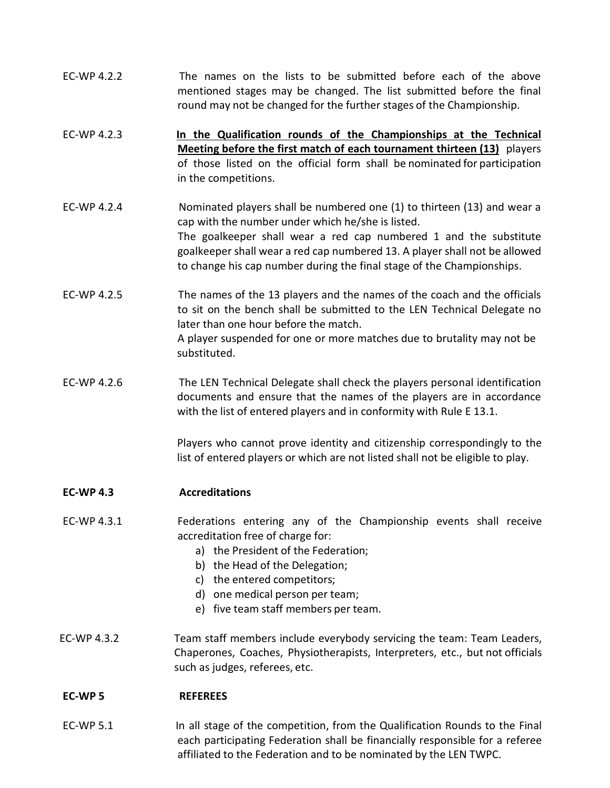- EC-WP 4.2.2 The names on the lists to be submitted before each of the above mentioned stages may be changed. The list submitted before the final round may not be changed for the further stages of the Championship.
- EC-WP 4.2.3 **In the Qualification rounds of the Championships at the Technical Meeting before the first match of each tournament thirteen (13)** players of those listed on the official form shall be nominated for participation in the competitions.
- EC-WP 4.2.4 Nominated players shall be numbered one (1) to thirteen (13) and wear a cap with the number under which he/she is listed. The goalkeeper shall wear a red cap numbered 1 and the substitute goalkeeper shall wear a red cap numbered 13. A player shall not be allowed to change his cap number during the final stage of the Championships.
- EC-WP 4.2.5 The names of the 13 players and the names of the coach and the officials to sit on the bench shall be submitted to the LEN Technical Delegate no later than one hour before the match. A player suspended for one or more matches due to brutality may not be substituted.
- EC-WP 4.2.6 The LEN Technical Delegate shall check the players personal identification documents and ensure that the names of the players are in accordance with the list of entered players and in conformity with Rule E 13.1.

Players who cannot prove identity and citizenship correspondingly to the list of entered players or which are not listed shall not be eligible to play.

### **EC-WP 4.3 Accreditations**

EC-WP 4.3.1 Federations entering any of the Championship events shall receive accreditation free of charge for:

- a) the President of the Federation;
- b) the Head of the Delegation;
- c) the entered competitors;
- d) one medical person per team;
- e) five team staff members per team.
- EC-WP 4.3.2 Team staff members include everybody servicing the team: Team Leaders, Chaperones, Coaches, Physiotherapists, Interpreters, etc., but not officials such as judges, referees, etc.

### **EC-WP 5 REFEREES**

EC-WP 5.1 In all stage of the competition, from the Qualification Rounds to the Final each participating Federation shall be financially responsible for a referee affiliated to the Federation and to be nominated by the LEN TWPC.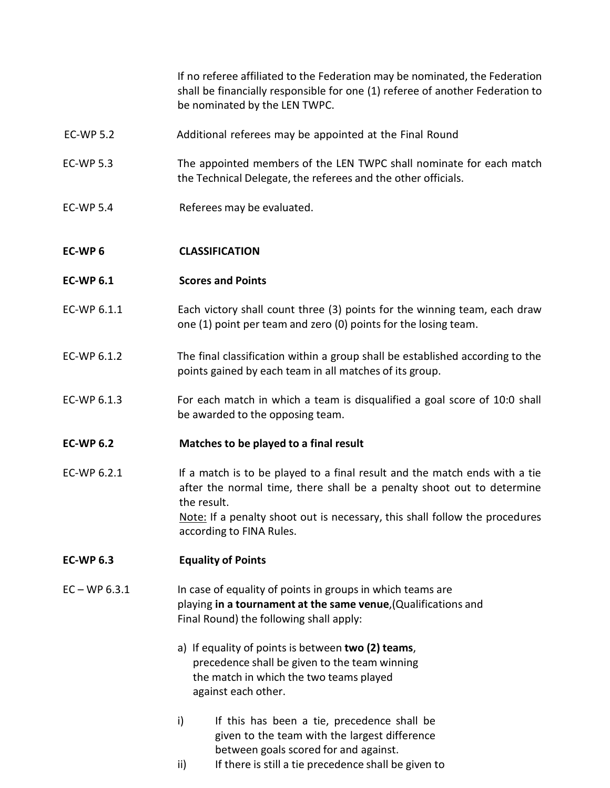If no referee affiliated to the Federation may be nominated, the Federation shall be financially responsible for one (1) referee of another Federation to be nominated by the LEN TWPC.

- EC-WP 5.2 Additional referees may be appointed at the Final Round
- EC-WP 5.3 The appointed members of the LEN TWPC shall nominate for each match the Technical Delegate, the referees and the other officials.
- EC-WP 5.4 Referees may be evaluated.

### **EC-WP 6 CLASSIFICATION**

- **EC-WP 6.1 Scores and Points**
- EC-WP 6.1.1 Each victory shall count three (3) points for the winning team, each draw one (1) point per team and zero (0) points for the losing team.
- EC-WP 6.1.2 The final classification within a group shall be established according to the points gained by each team in all matches of its group.
- EC-WP 6.1.3 For each match in which a team is disqualified a goal score of 10:0 shall be awarded to the opposing team.

### **EC-WP 6.2 Matches to be played to a final result**

EC-WP 6.2.1 If a match is to be played to a final result and the match ends with a tie after the normal time, there shall be a penalty shoot out to determine the result. Note: If a penalty shoot out is necessary, this shall follow the procedures according to FINA Rules.

### **EC-WP 6.3 Equality of Points**

- EC WP 6.3.1 In case of equality of points in groups in which teams are playing **in a tournament at the same venue**,(Qualifications and Final Round) the following shall apply:
	- a) If equality of points is between **two (2) teams**, precedence shall be given to the team winning the match in which the two teams played against each other.
	- i) If this has been a tie, precedence shall be given to the team with the largest difference between goals scored for and against.
	- ii) If there is still a tie precedence shall be given to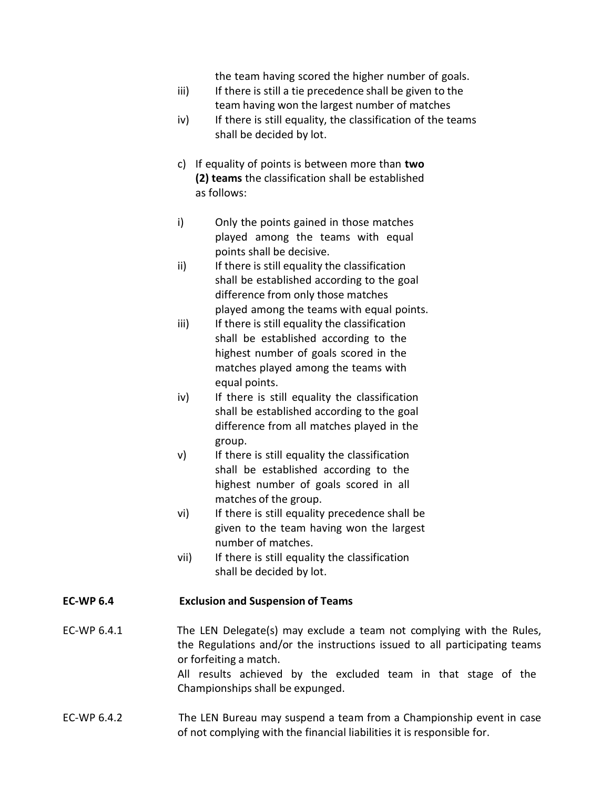the team having scored the higher number of goals.

- iii) If there is still a tie precedence shall be given to the team having won the largest number of matches
- iv) If there is still equality, the classification of the teams shall be decided by lot.
- c) If equality of points is between more than **two (2) teams** the classification shall be established as follows:
- i) Only the points gained in those matches played among the teams with equal points shall be decisive.
- ii) If there is still equality the classification shall be established according to the goal difference from only those matches played among the teams with equal points.
- iii) If there is still equality the classification shall be established according to the highest number of goals scored in the matches played among the teams with equal points.
- iv) If there is still equality the classification shall be established according to the goal difference from all matches played in the group.
- v) If there is still equality the classification shall be established according to the highest number of goals scored in all matches of the group.
- vi) If there is still equality precedence shall be given to the team having won the largest number of matches.
- vii) If there is still equality the classification shall be decided by lot.

## **EC-WP 6.4 Exclusion and Suspension of Teams**

EC-WP 6.4.1 The LEN Delegate(s) may exclude a team not complying with the Rules, the Regulations and/or the instructions issued to all participating teams or forfeiting a match.

All results achieved by the excluded team in that stage of the Championships shall be expunged.

EC-WP 6.4.2 The LEN Bureau may suspend a team from a Championship event in case of not complying with the financial liabilities it is responsible for.